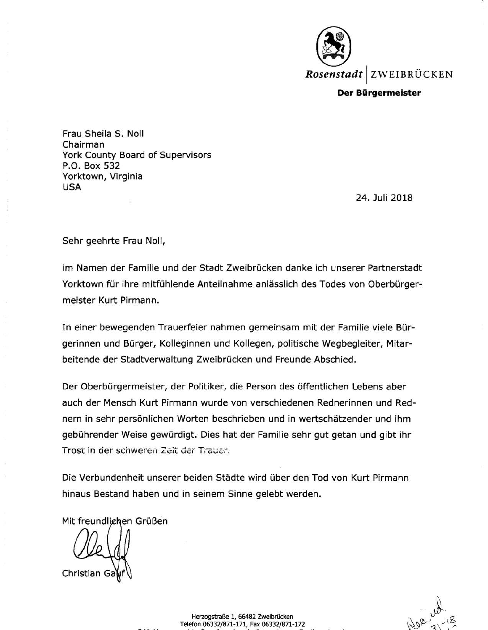

**Der Biirgermeister** 

Frau Sheila S. Noll Chairman York County Board of Supervisors P.O. Box 532 Yorktown, Virginia **USA** 

24. Juli 2018

Sehr geehrte Frau Noll,

im Namen der Familie und der Stadt Zweibrucken danke ich unserer Partnerstadt Yorktown für ihre mitfühlende Anteilnahme anlässlich des Todes von Oberbürgermeister Kurt Pirmann.

In einer bewegenden Trauerfeier nahmen gemeinsam mit der Familie viele Burgerinnen und Burger, Kolleginnen und Kollegen, politische Wegbegleiter, Mitarbeitende der Stadtverwaltung Zweibrücken und Freunde Abschied.

Der Oberbürgermeister, der Politiker, die Person des öffentlichen Lebens aber auch der Mensch Kurt Pirmann wurde von verschiedenen Rednerinnen und Rednern in sehr personlichen Worten beschrieben und in wertschatzender und ihm gebührender Weise gewürdigt. Dies hat der Familie sehr gut getan und gibt ihr Trost in der schweren Zeit der Trauer.

Die Verbundenheit unserer beiden Städte wird über den Tod von Kurt Pirmann hinaus Bestand haben und in seinem Sinne gelebt werden.

Mit freundlighen Grüßen

Christian

Herzogstraße 1, 66482 Zweibrücken Telefon 06332/871-171, Fax 06332/871-172